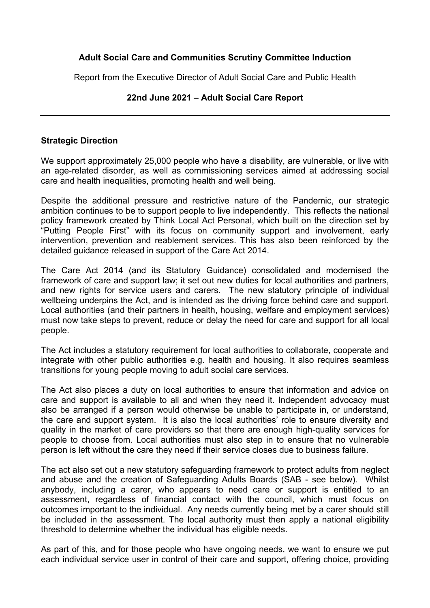### **Adult Social Care and Communities Scrutiny Committee Induction**

Report from the Executive Director of Adult Social Care and Public Health

#### **22nd June 2021 – Adult Social Care Report**

#### **Strategic Direction**

We support approximately 25,000 people who have a disability, are vulnerable, or live with an age-related disorder, as well as commissioning services aimed at addressing social care and health inequalities, promoting health and well being.

Despite the additional pressure and restrictive nature of the Pandemic, our strategic ambition continues to be to support people to live independently. This reflects the national policy framework created by Think Local Act Personal, which built on the direction set by "Putting People First" with its focus on community support and involvement, early intervention, prevention and reablement services. This has also been reinforced by the detailed guidance released in support of the Care Act 2014.

The Care Act 2014 (and its Statutory Guidance) consolidated and modernised the framework of care and support law; it set out new duties for local authorities and partners, and new rights for service users and carers. The new statutory principle of individual wellbeing underpins the Act, and is intended as the driving force behind care and support. Local authorities (and their partners in health, housing, welfare and employment services) must now take steps to prevent, reduce or delay the need for care and support for all local people.

The Act includes a statutory requirement for local authorities to collaborate, cooperate and integrate with other public authorities e.g. health and housing. It also requires seamless transitions for young people moving to adult social care services.

The Act also places a duty on local authorities to ensure that information and advice on care and support is available to all and when they need it. Independent advocacy must also be arranged if a person would otherwise be unable to participate in, or understand, the care and support system. It is also the local authorities' role to ensure diversity and quality in the market of care providers so that there are enough high-quality services for people to choose from. Local authorities must also step in to ensure that no vulnerable person is left without the care they need if their service closes due to business failure.

The act also set out a new statutory safeguarding framework to protect adults from neglect and abuse and the creation of Safeguarding Adults Boards (SAB - see below). Whilst anybody, including a carer, who appears to need care or support is entitled to an assessment, regardless of financial contact with the council, which must focus on outcomes important to the individual. Any needs currently being met by a carer should still be included in the assessment. The local authority must then apply a national eligibility threshold to determine whether the individual has eligible needs.

As part of this, and for those people who have ongoing needs, we want to ensure we put each individual service user in control of their care and support, offering choice, providing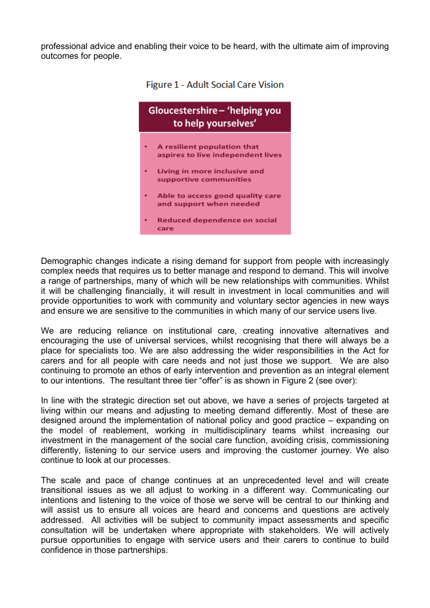professional advice and enabling their voice to be heard, with the ultimate aim of improving outcomes for people.



**Figure 1 - Adult Social Care Vision** 

Demographic changes indicate a rising demand for support from people with increasingly complex needs that requires us to better manage and respond to demand. This will involve a range of partnerships, many of which will be new relationships with communities. Whilst it will be challenging financially, it will result in investment in local communities and will provide opportunities to work with community and voluntary sector agencies in new ways and ensure we are sensitive to the communities in which many of our service users live.

We are reducing reliance on institutional care, creating innovative alternatives and encouraging the use of universal services, whilst recognising that there will always be a place for specialists too. We are also addressing the wider responsibilities in the Act for carers and for all people with care needs and not just those we support. We are also continuing to promote an ethos of early intervention and prevention as an integral element to our intentions. The resultant three tier "offer" is as shown in Figure 2 (see over):

In line with the strategic direction set out above, we have a series of projects targeted at living within our means and adjusting to meeting demand differently. Most of these are designed around the implementation of national policy and good practice – expanding on the model of reablement, working in multidisciplinary teams whilst increasing our investment in the management of the social care function, avoiding crisis, commissioning differently, listening to our service users and improving the customer journey. We also continue to look at our processes.

The scale and pace of change continues at an unprecedented level and will create transitional issues as we all adjust to working in a different way. Communicating our intentions and listening to the voice of those we serve will be central to our thinking and will assist us to ensure all voices are heard and concerns and questions are actively addressed. All activities will be subject to community impact assessments and specific consultation will be undertaken where appropriate with stakeholders. We will actively pursue opportunities to engage with service users and their carers to continue to build confidence in those partnerships.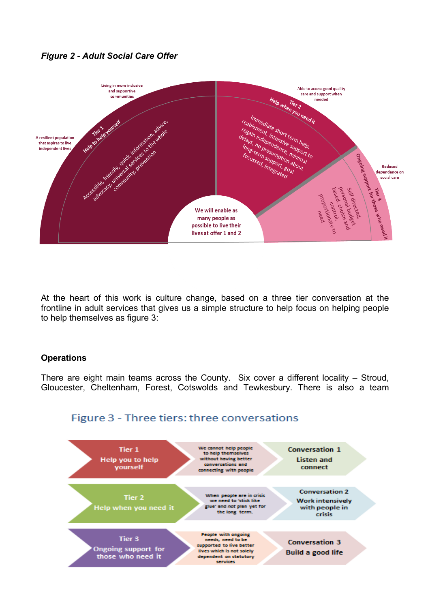## *Figure 2 - Adult Social Care Offer*



At the heart of this work is culture change, based on a three tier conversation at the frontline in adult services that gives us a simple structure to help focus on helping people to help themselves as figure 3:

#### **Operations**

There are eight main teams across the County. Six cover a different locality – Stroud, Gloucester, Cheltenham, Forest, Cotswolds and Tewkesbury. There is also a team



# Figure 3 - Three tiers: three conversations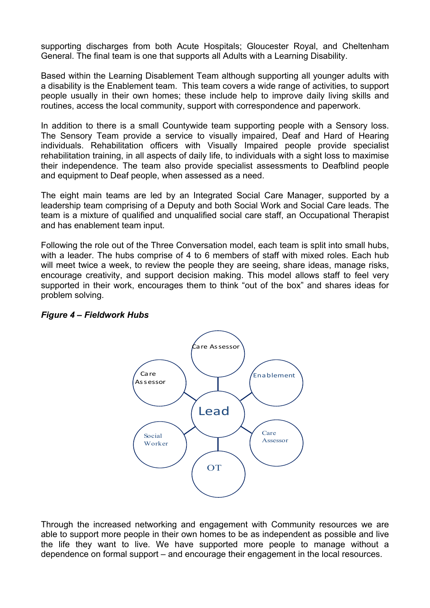supporting discharges from both Acute Hospitals; Gloucester Royal, and Cheltenham General. The final team is one that supports all Adults with a Learning Disability.

Based within the Learning Disablement Team although supporting all younger adults with a disability is the Enablement team. This team covers a wide range of activities, to support people usually in their own homes; these include help to improve daily living skills and routines, access the local community, support with correspondence and paperwork.

In addition to there is a small Countywide team supporting people with a Sensory loss. The Sensory Team provide a service to visually impaired, Deaf and Hard of Hearing individuals. Rehabilitation officers with Visually Impaired people provide specialist rehabilitation training, in all aspects of daily life, to individuals with a sight loss to maximise their independence. The team also provide specialist assessments to Deafblind people and equipment to Deaf people, when assessed as a need.

The eight main teams are led by an Integrated Social Care Manager, supported by a leadership team comprising of a Deputy and both Social Work and Social Care leads. The team is a mixture of qualified and unqualified social care staff, an Occupational Therapist and has enablement team input.

Following the role out of the Three Conversation model, each team is split into small hubs, with a leader. The hubs comprise of 4 to 6 members of staff with mixed roles. Each hub will meet twice a week, to review the people they are seeing, share ideas, manage risks, encourage creativity, and support decision making. This model allows staff to feel very supported in their work, encourages them to think "out of the box" and shares ideas for problem solving.



## *Figure 4 – Fieldwork Hubs*

Through the increased networking and engagement with Community resources we are able to support more people in their own homes to be as independent as possible and live the life they want to live. We have supported more people to manage without a dependence on formal support – and encourage their engagement in the local resources.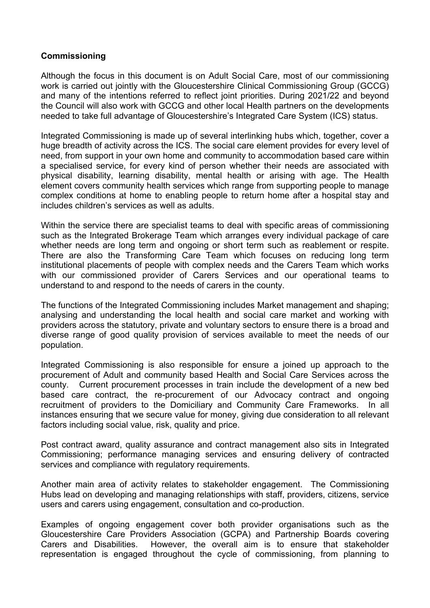### **Commissioning**

Although the focus in this document is on Adult Social Care, most of our commissioning work is carried out jointly with the Gloucestershire Clinical Commissioning Group (GCCG) and many of the intentions referred to reflect joint priorities. During 2021/22 and beyond the Council will also work with GCCG and other local Health partners on the developments needed to take full advantage of Gloucestershire's Integrated Care System (ICS) status.

Integrated Commissioning is made up of several interlinking hubs which, together, cover a huge breadth of activity across the ICS. The social care element provides for every level of need, from support in your own home and community to accommodation based care within a specialised service, for every kind of person whether their needs are associated with physical disability, learning disability, mental health or arising with age. The Health element covers community health services which range from supporting people to manage complex conditions at home to enabling people to return home after a hospital stay and includes children's services as well as adults.

Within the service there are specialist teams to deal with specific areas of commissioning such as the Integrated Brokerage Team which arranges every individual package of care whether needs are long term and ongoing or short term such as reablement or respite. There are also the Transforming Care Team which focuses on reducing long term institutional placements of people with complex needs and the Carers Team which works with our commissioned provider of Carers Services and our operational teams to understand to and respond to the needs of carers in the county.

The functions of the Integrated Commissioning includes Market management and shaping; analysing and understanding the local health and social care market and working with providers across the statutory, private and voluntary sectors to ensure there is a broad and diverse range of good quality provision of services available to meet the needs of our population.

Integrated Commissioning is also responsible for ensure a joined up approach to the procurement of Adult and community based Health and Social Care Services across the county. Current procurement processes in train include the development of a new bed based care contract, the re-procurement of our Advocacy contract and ongoing recruitment of providers to the Domiciliary and Community Care Frameworks. In all instances ensuring that we secure value for money, giving due consideration to all relevant factors including social value, risk, quality and price.

Post contract award, quality assurance and contract management also sits in Integrated Commissioning; performance managing services and ensuring delivery of contracted services and compliance with regulatory requirements.

Another main area of activity relates to stakeholder engagement. The Commissioning Hubs lead on developing and managing relationships with staff, providers, citizens, service users and carers using engagement, consultation and co-production.

Examples of ongoing engagement cover both provider organisations such as the Gloucestershire Care Providers Association (GCPA) and Partnership Boards covering Carers and Disabilities. However, the overall aim is to ensure that stakeholder representation is engaged throughout the cycle of commissioning, from planning to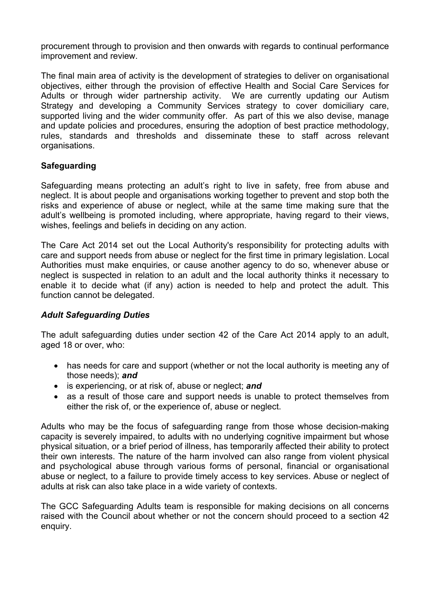procurement through to provision and then onwards with regards to continual performance improvement and review.

The final main area of activity is the development of strategies to deliver on organisational objectives, either through the provision of effective Health and Social Care Services for Adults or through wider partnership activity. We are currently updating our Autism Strategy and developing a Community Services strategy to cover domiciliary care, supported living and the wider community offer. As part of this we also devise, manage and update policies and procedures, ensuring the adoption of best practice methodology, rules, standards and thresholds and disseminate these to staff across relevant organisations.

## **Safeguarding**

Safeguarding means protecting an adult's right to live in safety, free from abuse and neglect. It is about people and organisations working together to prevent and stop both the risks and experience of abuse or neglect, while at the same time making sure that the adult's wellbeing is promoted including, where appropriate, having regard to their views, wishes, feelings and beliefs in deciding on any action.

The Care Act 2014 set out the Local Authority's responsibility for protecting adults with care and support needs from abuse or neglect for the first time in primary legislation. Local Authorities must make enquiries, or cause another agency to do so, whenever abuse or neglect is suspected in relation to an adult and the local authority thinks it necessary to enable it to decide what (if any) action is needed to help and protect the adult. This function cannot be delegated.

#### *Adult Safeguarding Duties*

The adult safeguarding duties under section 42 of the Care Act 2014 apply to an adult, aged 18 or over, who:

- has needs for care and support (whether or not the local authority is meeting any of those needs); *and*
- is experiencing, or at risk of, abuse or neglect; *and*
- as a result of those care and support needs is unable to protect themselves from either the risk of, or the experience of, abuse or neglect.

Adults who may be the focus of safeguarding range from those whose decision-making capacity is severely impaired, to adults with no underlying cognitive impairment but whose physical situation, or a brief period of illness, has temporarily affected their ability to protect their own interests. The nature of the harm involved can also range from violent physical and psychological abuse through various forms of personal, financial or organisational abuse or neglect, to a failure to provide timely access to key services. Abuse or neglect of adults at risk can also take place in a wide variety of contexts.

The GCC Safeguarding Adults team is responsible for making decisions on all concerns raised with the Council about whether or not the concern should proceed to a section 42 enquiry.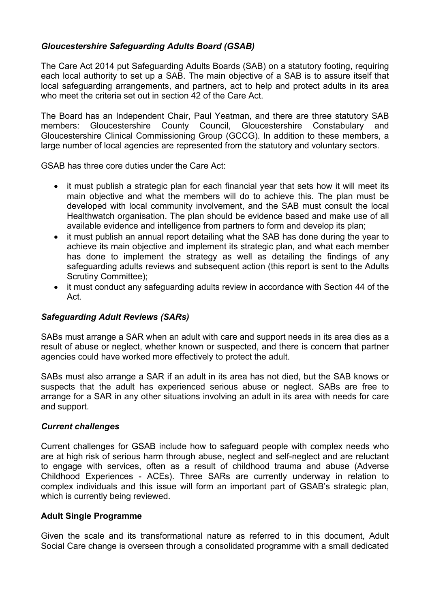# *Gloucestershire Safeguarding Adults Board (GSAB)*

The Care Act 2014 put Safeguarding Adults Boards (SAB) on a statutory footing, requiring each local authority to set up a SAB. The main objective of a SAB is to assure itself that local safeguarding arrangements, and partners, act to help and protect adults in its area who meet the criteria set out in section 42 of the Care Act.

The Board has an Independent Chair, Paul Yeatman, and there are three statutory SAB members: Gloucestershire County Council, Gloucestershire Constabulary and Gloucestershire Clinical Commissioning Group (GCCG). In addition to these members, a large number of local agencies are represented from the statutory and voluntary sectors.

GSAB has three core duties under the Care Act:

- it must publish a strategic plan for each financial year that sets how it will meet its main objective and what the members will do to achieve this. The plan must be developed with local community involvement, and the SAB must consult the local Healthwatch organisation. The plan should be evidence based and make use of all available evidence and intelligence from partners to form and develop its plan;
- it must publish an annual report detailing what the SAB has done during the year to achieve its main objective and implement its strategic plan, and what each member has done to implement the strategy as well as detailing the findings of any safeguarding adults reviews and subsequent action (this report is sent to the Adults Scrutiny Committee);
- it must conduct any safeguarding adults review in accordance with Section 44 of the Act.

## *Safeguarding Adult Reviews (SARs)*

SABs must arrange a SAR when an adult with care and support needs in its area dies as a result of abuse or neglect, whether known or suspected, and there is concern that partner agencies could have worked more effectively to protect the adult.

SABs must also arrange a SAR if an adult in its area has not died, but the SAB knows or suspects that the adult has experienced serious abuse or neglect. SABs are free to arrange for a SAR in any other situations involving an adult in its area with needs for care and support.

#### *Current challenges*

Current challenges for GSAB include how to safeguard people with complex needs who are at high risk of serious harm through abuse, neglect and self-neglect and are reluctant to engage with services, often as a result of childhood trauma and abuse (Adverse Childhood Experiences - ACEs). Three SARs are currently underway in relation to complex individuals and this issue will form an important part of GSAB's strategic plan, which is currently being reviewed.

#### **Adult Single Programme**

Given the scale and its transformational nature as referred to in this document, Adult Social Care change is overseen through a consolidated programme with a small dedicated